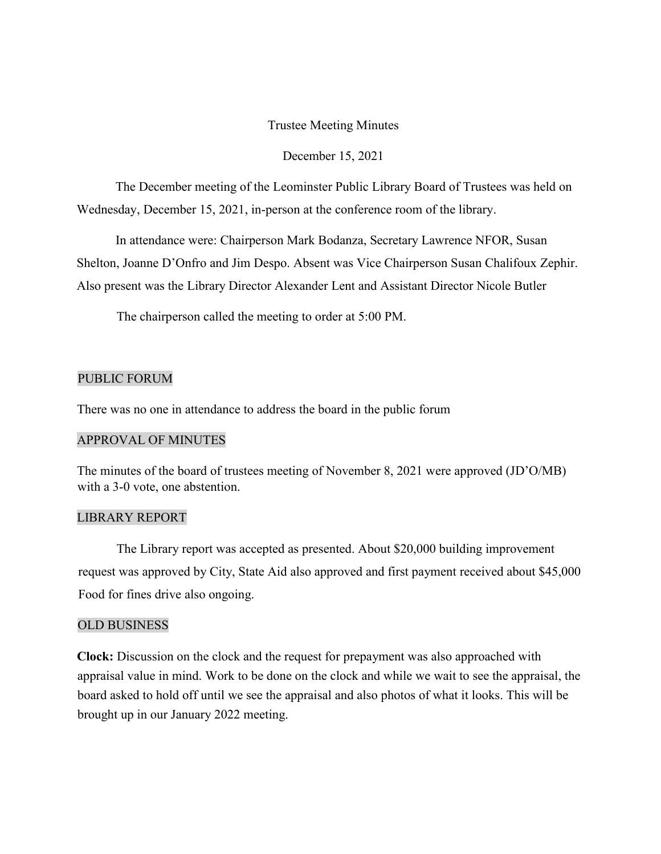## Trustee Meeting Minutes

#### December 15, 2021

The December meeting of the Leominster Public Library Board of Trustees was held on Wednesday, December 15, 2021, in-person at the conference room of the library.

In attendance were: Chairperson Mark Bodanza, Secretary Lawrence NFOR, Susan Shelton, Joanne D'Onfro and Jim Despo. Absent was Vice Chairperson Susan Chalifoux Zephir. Also present was the Library Director Alexander Lent and Assistant Director Nicole Butler

The chairperson called the meeting to order at 5:00 PM.

### PUBLIC FORUM

There was no one in attendance to address the board in the public forum

#### APPROVAL OF MINUTES

The minutes of the board of trustees meeting of November 8, 2021 were approved (JD'O/MB) with a 3-0 vote, one abstention.

## LIBRARY REPORT

The Library report was accepted as presented. About \$20,000 building improvement request was approved by City, State Aid also approved and first payment received about \$45,000 Food for fines drive also ongoing.

## OLD BUSINESS

**Clock:** Discussion on the clock and the request for prepayment was also approached with appraisal value in mind. Work to be done on the clock and while we wait to see the appraisal, the board asked to hold off until we see the appraisal and also photos of what it looks. This will be brought up in our January 2022 meeting.